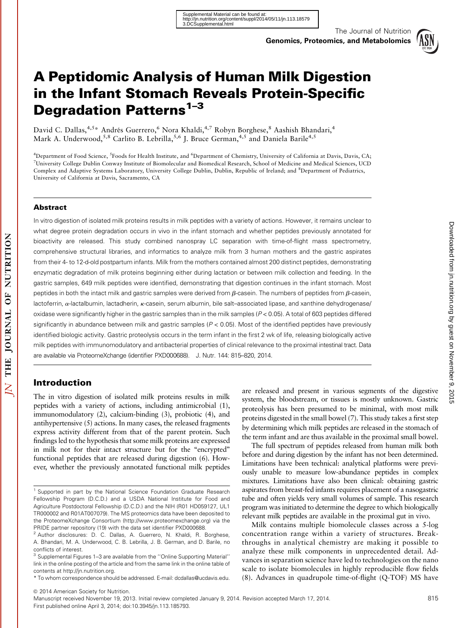The Journal of Nutrition



# A Peptidomic Analysis of Human Milk Digestion in the Infant Stomach Reveals Protein-Specific Degradation Patterns<sup>1-3</sup>

David C. Dallas,<sup>4,5</sup>\* Andrés Guerrero,<sup>6</sup> Nora Khaldi,<sup>4,7</sup> Robyn Borghese,<sup>8</sup> Aashish Bhandari,<sup>4</sup> Mark A. Underwood,<sup>5,8</sup> Carlito B. Lebrilla,<sup>5,6</sup> J. Bruce German,<sup>4,5</sup> and Daniela Barile<sup>4,5</sup>

<sup>4</sup>Department of Food Science, <sup>5</sup>Foods for Health Institute, and <sup>6</sup>Department of Chemistry, University of California at Davis, Davis, CA; 7 University College Dublin Conway Institute of Biomolecular and Biomedical Research, School of Medicine and Medical Sciences, UCD Complex and Adaptive Systems Laboratory, University College Dublin, Dublin, Republic of Ireland; and <sup>8</sup>Department of Pediatrics, University of California at Davis, Sacramento, CA

#### Abstract

In vitro digestion of isolated milk proteins results in milk peptides with a variety of actions. However, it remains unclear to what degree protein degradation occurs in vivo in the infant stomach and whether peptides previously annotated for bioactivity are released. This study combined nanospray LC separation with time-of-flight mass spectrometry, comprehensive structural libraries, and informatics to analyze milk from 3 human mothers and the gastric aspirates from their 4- to 12-d-old postpartum infants. Milk from the mothers contained almost 200 distinct peptides, demonstrating enzymatic degradation of milk proteins beginning either during lactation or between milk collection and feeding. In the gastric samples, 649 milk peptides were identified, demonstrating that digestion continues in the infant stomach. Most peptides in both the intact milk and gastric samples were derived from  $\beta$ -casein. The numbers of peptides from  $\beta$ -casein, lactoferrin, a-lactalbumin, lactadherin, k-casein, serum albumin, bile salt-associated lipase, and xanthine dehydrogenase/ oxidase were significantly higher in the gastric samples than in the milk samples ( $P < 0.05$ ). A total of 603 peptides differed significantly in abundance between milk and gastric samples ( $P < 0.05$ ). Most of the identified peptides have previously identified biologic activity. Gastric proteolysis occurs in the term infant in the first 2 wk of life, releasing biologically active milk peptides with immunomodulatory and antibacterial properties of clinical relevance to the proximal intestinal tract. Data are available via ProteomeXchange (identifier PXD000688). J. Nutr. 144: 815–820, 2014.

#### Introduction

The in vitro digestion of isolated milk proteins results in milk peptides with a variety of actions, including antimicrobial (1), immunomodulatory (2), calcium-binding (3), probiotic (4), and antihypertensive (5) actions. In many cases, the released fragments express activity different from that of the parent protein. Such findings led to the hypothesis that some milk proteins are expressed in milk not for their intact structure but for the "encrypted" functional peptides that are released during digestion (6). However, whether the previously annotated functional milk peptides are released and present in various segments of the digestive system, the bloodstream, or tissues is mostly unknown. Gastric proteolysis has been presumed to be minimal, with most milk proteins digested in the small bowel (7). This study takes a first step by determining which milk peptides are released in the stomach of the term infant and are thus available in the proximal small bowel.

The full spectrum of peptides released from human milk both before and during digestion by the infant has not been determined. Limitations have been technical: analytical platforms were previously unable to measure low-abundance peptides in complex mixtures. Limitations have also been clinical: obtaining gastric aspirates from breast-fed infants requires placement of a nasogastric tube and often yields very small volumes of sample. This research program was initiated to determine the degree to which biologically relevant milk peptides are available in the proximal gut in vivo.

Milk contains multiple biomolecule classes across a 5-log concentration range within a variety of structures. Breakthroughs in analytical chemistry are making it possible to analyze these milk components in unprecedented detail. Advances in separation science have led to technologies on the nano scale to isolate biomolecules in highly reproducible flow fields (8). Advances in quadrupole time-of-flight (Q-TOF) MS have by guest on November 9, 2015 [jn.nutrition.org](http://jn.nutrition.org/) Downloaded from

Downloaded from jn.nutrition.org by guest on November 9, 2015

<sup>&</sup>lt;sup>1</sup> Supported in part by the National Science Foundation Graduate Research Fellowship Program (D.C.D.) and a USDA National Institute for Food and Agriculture Postdoctoral Fellowship (D.C.D.) and the NIH (R01 HD059127, UL1 TR000002 and R01AT007079). The MS proteomics data have been deposited to the ProteomeXchange Consortium (http://www.proteomexchange.org) via the PRIDE partner repository (19) with the data set identifier PXD000688.

<sup>2</sup> Author disclosures: D. C. Dallas, A. Guerrero, N. Khaldi, R. Borghese, A. Bhandari, M. A. Underwood, C. B. Lebrilla, J. B. German, and D. Barile, no conflicts of interest.

<sup>3</sup> Supplemental Figures 1–3 are available from the ''Online Supporting Material'' link in the online posting of the article and from the same link in the online table of contents at http://jn.nutrition.org.

<sup>\*</sup> To whom correspondence should be addressed. E-mail: dcdallas@ucdavis.edu.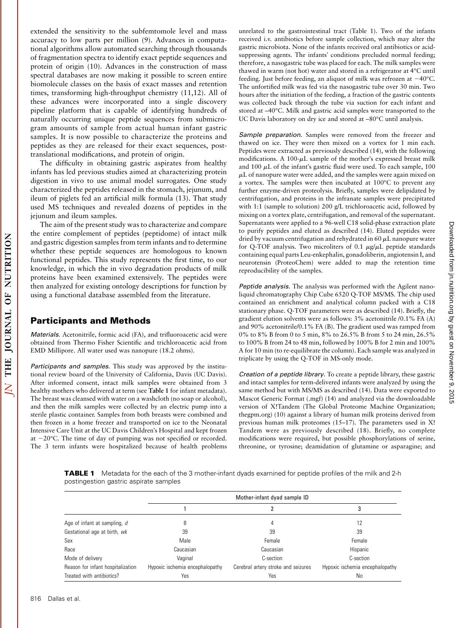extended the sensitivity to the subfemtomole level and mass accuracy to low parts per million (9). Advances in computational algorithms allow automated searching through thousands of fragmentation spectra to identify exact peptide sequences and protein of origin (10). Advances in the construction of mass spectral databases are now making it possible to screen entire biomolecule classes on the basis of exact masses and retention times, transforming high-throughput chemistry (11,12). All of these advances were incorporated into a single discovery pipeline platform that is capable of identifying hundreds of naturally occurring unique peptide sequences from submicrogram amounts of sample from actual human infant gastric samples. It is now possible to characterize the proteins and peptides as they are released for their exact sequences, posttranslational modifications, and protein of origin.

The difficulty in obtaining gastric aspirates from healthy infants has led previous studies aimed at characterizing protein digestion in vivo to use animal model surrogates. One study characterized the peptides released in the stomach, jejunum, and ileum of piglets fed an artificial milk formula (13). That study used MS techniques and revealed dozens of peptides in the jejunum and ileum samples.

The aim of the present study was to characterize and compare the entire complement of peptides (peptidome) of intact milk and gastric digestion samples from term infants and to determine whether these peptide sequences are homologous to known functional peptides. This study represents the first time, to our knowledge, in which the in vivo degradation products of milk proteins have been examined extensively. The peptides were then analyzed for existing ontology descriptions for function by using a functional database assembled from the literature.

#### Participants and Methods

Materials. Acetonitrile, formic acid (FA), and trifluoroacetic acid were obtained from Thermo Fisher Scientific and trichloroacetic acid from EMD Millipore. All water used was nanopure (18.2 ohms).

Participants and samples. This study was approved by the institutional review board of the University of California, Davis (UC Davis). After informed consent, intact milk samples were obtained from 3 healthy mothers who delivered at term (see Table 1 for infant metadata). The breast was cleansed with water on a washcloth (no soap or alcohol), and then the milk samples were collected by an electric pump into a sterile plastic container. Samples from both breasts were combined and then frozen in a home freezer and transported on ice to the Neonatal Intensive Care Unit at the UC Davis Children's Hospital and kept frozen at  $-20^{\circ}$ C. The time of day of pumping was not specified or recorded. The 3 term infants were hospitalized because of health problems

unrelated to the gastrointestinal tract (Table 1). Two of the infants received i.v. antibiotics before sample collection, which may alter the gastric microbiota. None of the infants received oral antibiotics or acidsuppressing agents. The infants' conditions precluded normal feeding; therefore, a nasogastric tube was placed for each. The milk samples were thawed in warm (not hot) water and stored in a refrigerator at 4°C until feeding. Just before feeding, an aliquot of milk was refrozen at  $-40^{\circ}$ C. The unfortified milk was fed via the nasogastric tube over 30 min. Two hours after the initiation of the feeding, a fraction of the gastric contents was collected back through the tube via suction for each infant and stored at -40°C. Milk and gastric acid samples were transported to the UC Davis laboratory on dry ice and stored at -80°C until analysis.

Sample preparation. Samples were removed from the freezer and thawed on ice. They were then mixed on a vortex for 1 min each. Peptides were extracted as previously described (14), with the following modifications. A 100- $\mu$ L sample of the mother's expressed breast milk and 100  $\mu$ L of the infant's gastric fluid were used. To each sample, 100  $\mu$ L of nanopure water were added, and the samples were again mixed on a vortex. The samples were then incubated at  $100^{\circ}$ C to prevent any further enzyme-driven proteolysis. Briefly, samples were delipidated by centrifugation, and proteins in the infranate samples were precipitated with 1:1 (sample to solution) 200 g/L trichloroacetic acid, followed by mixing on a vortex plate, centrifugation, and removal of the supernatant. Supernatants were applied to a 96-well C18 solid-phase extraction plate to purify peptides and eluted as described (14). Eluted peptides were dried by vacuum centrifugation and rehydrated in 60  $\mu$ L nanopure water for Q-TOF analysis. Two microliters of 0.1  $\mu$ g/ $\mu$ L peptide standards containing equal parts Leu-enkephalin, gonadoliberin, angiotensin I, and neurotensin (ProteoChem) were added to map the retention time reproducibility of the samples.

Peptide analysis. The analysis was performed with the Agilent nanoliquid chromatography Chip Cube 6520 Q-TOF MS/MS. The chip used contained an enrichment and analytical column packed with a C18 stationary phase. Q-TOF parameters were as described (14). Briefly, the gradient elution solvents were as follows: 3% acetonitrile /0.1% FA (A) and 90% acetonitrile/0.1% FA (B). The gradient used was ramped from 0% to 8% B from 0 to 5 min, 8% to 26.5% B from 5 to 24 min, 26.5% to 100% B from 24 to 48 min, followed by 100% B for 2 min and 100% A for 10 min (to re-equilibrate the column). Each sample was analyzed in triplicate by using the Q-TOF in MS-only mode.

Creation of a peptide library. To create a peptide library, these gastric and intact samples for term-delivered infants were analyzed by using the same method but with MS/MS as described (14). Data were exported to Mascot Generic Format (.mgf) (14) and analyzed via the downloadable version of X!Tandem (The Global Proteome Machine Organization; thegpm.org) (10) against a library of human milk proteins derived from previous human milk proteomes (15–17). The parameters used in X! Tandem were as previously described (18). Briefly, no complete modifications were required, but possible phosphorylations of serine, threonine, or tyrosine; deamidation of glutamine or asparagine; and

**TABLE 1** Metadata for the each of the 3 mother-infant dyads examined for peptide profiles of the milk and 2-h postingestion gastric aspirate samples

|                                   |                                 | Mother-infant dyad sample ID        |                                 |
|-----------------------------------|---------------------------------|-------------------------------------|---------------------------------|
|                                   |                                 |                                     |                                 |
| Age of infant at sampling, d      |                                 | 4                                   | 12                              |
| Gestational age at birth, wk      | 39                              | 39                                  | 39                              |
| Sex                               | Male                            | Female                              | Female                          |
| Race                              | Caucasian                       | Caucasian                           | Hispanic                        |
| Mode of delivery                  | Vaginal                         | C-section                           | C-section                       |
| Reason for infant hospitalization | Hypoxic ischemia encephalopathy | Cerebral artery stroke and seizures | Hypoxic ischemia encephalopathy |
| Treated with antibiotics?         | Yes                             | Yes                                 | No                              |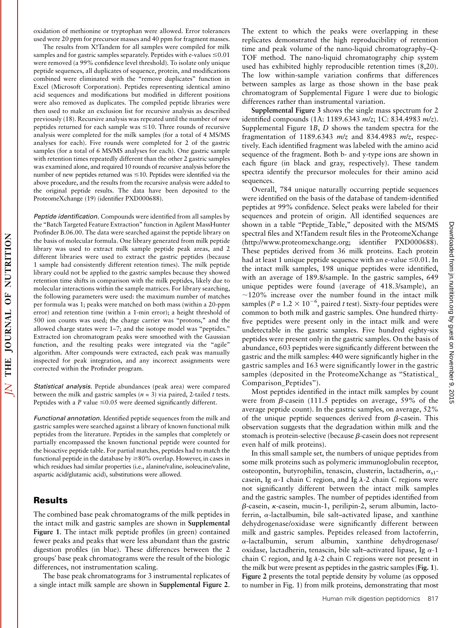oxidation of methionine or tryptophan were allowed. Error tolerances used were 20 ppm for precursor masses and 40 ppm for fragment masses.

The results from X!Tandem for all samples were compiled for milk samples and for gastric samples separately. Peptides with e-values  $\leq 0.01$ were removed (a 99% confidence level threshold). To isolate only unique peptide sequences, all duplicates of sequence, protein, and modifications combined were eliminated with the ''remove duplicates'' function in Excel (Microsoft Corporation). Peptides representing identical amino acid sequences and modifications but modified in different positions were also removed as duplicates. The compiled peptide libraries were then used to make an exclusion list for recursive analysis as described previously (18). Recursive analysis was repeated until the number of new peptides returned for each sample was  $\leq 10$ . Three rounds of recursive analysis were completed for the milk samples (for a total of 4 MS/MS analyses for each). Five rounds were completed for 2 of the gastric samples (for a total of 6 MS/MS analyses for each). One gastric sample with retention times repeatedly different than the other 2 gastric samples was examined alone, and required 10 rounds of recursive analysis before the number of new peptides returned was  $\leq$ 10. Peptides were identified via the above procedure, and the results from the recursive analysis were added to the original peptide results. The data have been deposited to the ProteomeXchange (19) (identifier PXD000688).

Peptide identification. Compounds were identified from all samples by the ''Batch Targeted Feature Extraction'' function in Agilent MassHunter Profinder B.06.00. The data were searched against the peptide library on the basis of molecular formula. One library generated from milk peptide library was used to extract milk sample peptide peak areas, and 2 different libraries were used to extract the gastric peptides (because 1 sample had consistently different retention times). The milk peptide library could not be applied to the gastric samples because they showed retention time shifts in comparison with the milk peptides, likely due to molecular interactions within the sample matrices. For library searching, the following parameters were used: the maximum number of matches per formula was 1; peaks were matched on both mass (within a 20-ppm error) and retention time (within a 1-min error); a height threshold of 500 ion counts was used; the charge carrier was ''protons,'' and the allowed charge states were 1–7; and the isotope model was ''peptides.'' Extracted ion chromatogram peaks were smoothed with the Gaussian function, and the resulting peaks were integrated via the "agile" algorithm. After compounds were extracted, each peak was manually inspected for peak integration, and any incorrect assignments were corrected within the Profinder program.

Statistical analysis. Peptide abundances (peak area) were compared between the milk and gastric samples ( $n = 3$ ) via paired, 2-tailed t tests. Peptides with a P value  $\leq 0.05$  were deemed significantly different.

Functional annotation. Identified peptide sequences from the milk and gastric samples were searched against a library of known functional milk peptides from the literature. Peptides in the samples that completely or partially encompassed the known functional peptide were counted for the bioactive peptide table. For partial matches, peptides had to match the functional peptide in the database by  $\geq$ 80% overlap. However, in cases in which residues had similar properties (i.e., alanine/valine, isoleucine/valine, aspartic acid/glutamic acid), substitutions were allowed.

### Results

NUTRITION

JOURNAL OF

THE

 $\overline{\Delta}$ 

The combined base peak chromatograms of the milk peptides in the intact milk and gastric samples are shown in Supplemental Figure 1. The intact milk peptide profiles (in green) contained fewer peaks and peaks that were less abundant than the gastric digestion profiles (in blue). These differences between the 2 groups' base peak chromatograms were the result of the biologic differences, not instrumentation scaling.

The base peak chromatograms for 3 instrumental replicates of a single intact milk sample are shown in Supplemental Figure 2.

The extent to which the peaks were overlapping in these replicates demonstrated the high reproducibility of retention time and peak volume of the nano-liquid chromatography–Q-TOF method. The nano-liquid chromatography chip system used has exhibited highly reproducible retention times (8,20). The low within-sample variation confirms that differences between samples as large as those shown in the base peak chromatogram of Supplemental Figure 1 were due to biologic differences rather than instrumental variation.

Supplemental Figure 3 shows the single mass spectrum for 2 identified compounds (1A: 1189.6343 m/z; 1C: 834.4983 m/z). Supplemental Figure 1B, D shows the tandem spectra for the fragmentation of 1189.6343  $m/z$  and 834.4983  $m/z$ , respectively. Each identified fragment was labeled with the amino acid sequence of the fragment. Both b- and y-type ions are shown in each figure (in black and gray, respectively). These tandem spectra identify the precursor molecules for their amino acid sequences.

Overall, 784 unique naturally occurring peptide sequences were identified on the basis of the database of tandem-identified peptides at 99% confidence. Select peaks were labeled for their sequences and protein of origin. All identified sequences are shown in a table "Peptide\_Table," deposited with the MS/MS spectral files and X!Tandem result files in the ProteomeXchange (http://www.proteomexchange.org; identifier PXD000688). These peptides derived from 36 milk proteins. Each protein had at least 1 unique peptide sequence with an e-value  $\leq 0.01$ . In the intact milk samples, 198 unique peptides were identified, with an average of 189.8/sample. In the gastric samples, 649 unique peptides were found (average of 418.3/sample), an  $\sim$ 120% increase over the number found in the intact milk samples (P = 1.2  $\times$  10<sup>-6</sup>, paired t test). Sixty-four peptides were common to both milk and gastric samples. One hundred thirtyfive peptides were present only in the intact milk and were undetectable in the gastric samples. Five hundred eighty-six peptides were present only in the gastric samples. On the basis of abundance, 603 peptides were significantly different between the gastric and the milk samples: 440 were significantly higher in the gastric samples and 163 were significantly lower in the gastric samples (deposited in the ProteomeXchange as "Statistical\_ Comparison\_Peptides'').

Most peptides identified in the intact milk samples by count were from  $\beta$ -casein (111.5 peptides on average, 59% of the average peptide count). In the gastric samples, on average, 52% of the unique peptide sequences derived from  $\beta$ -casein. This observation suggests that the degradation within milk and the stomach is protein-selective (because  $\beta$ -casein does not represent even half of milk proteins).

In this small sample set, the numbers of unique peptides from some milk proteins such as polymeric immunoglobulin receptor, osteopontin, butyrophilin, tenascin, clusterin, lactadherin,  $\alpha_{s1}$ casein, Ig  $\alpha$ -1 chain C region, and Ig  $\lambda$ -2 chain C regions were not significantly different between the intact milk samples and the gastric samples. The number of peptides identified from  $\beta$ -casein,  $\kappa$ -casein, mucin-1, perilipin-2, serum albumin, lactoferrin,  $\alpha$ -lactalbumin, bile salt-activated lipase, and xanthine dehydrogenase/oxidase were significantly different between milk and gastric samples. Peptides released from lactoferrin, a-lactalbumin, serum albumin, xanthine dehydrogenase/ oxidase, lactadherin, tenascin, bile salt-activated lipase, Ig  $\alpha$ -1 chain C region, and Ig  $\lambda$ -2 chain C regions were not present in the milk but were present as peptides in the gastric samples (Fig. 1). Figure 2 presents the total peptide density by volume (as opposed to number in Fig. 1) from milk proteins, demonstrating that most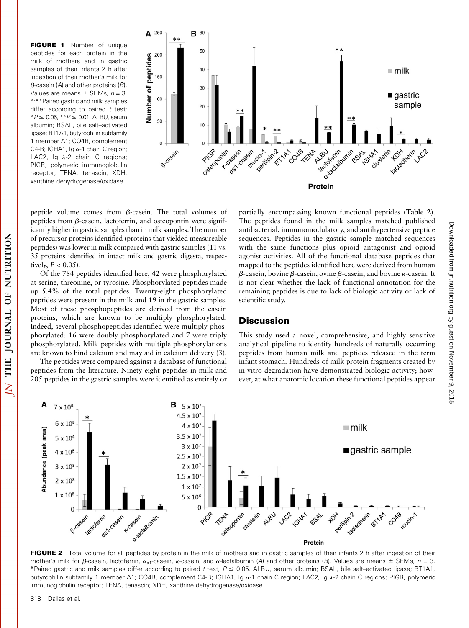FIGURE 1 Number of unique peptides for each protein in the milk of mothers and in gastric samples of their infants 2 h after ingestion of their mother's milk for  $\beta$ -casein (A) and other proteins (B). Values are means  $\pm$  SEMs,  $n = 3$ . \*, \*\*Paired gastric and milk samples differ according to paired  $t$  test:  $*P \le 0.05$ ,  $*P \le 0.01$ . ALBU, serum albumin; BSAL, bile salt–activated lipase; BT1A1, butyrophilin subfamily 1 member A1; CO4B, complement C4-B; IGHA1, Ig  $\alpha$ -1 chain C region; LAC2, Ig  $\lambda$ -2 chain C regions; PIGR, polymeric immunoglobulin receptor; TENA, tenascin; XDH, xanthine dehydrogenase/oxidase.



peptide volume comes from  $\beta$ -casein. The total volumes of peptides from  $\beta$ -casein, lactoferrin, and osteopontin were significantly higher in gastric samples than in milk samples. The number of precursor proteins identified (proteins that yielded measureable peptides) was lower in milk compared with gastric samples (11 vs. 35 proteins identified in intact milk and gastric digesta, respectively,  $P < 0.05$ ).

Of the 784 peptides identified here, 42 were phosphorylated at serine, threonine, or tyrosine. Phosphorylated peptides made up 5.4% of the total peptides. Twenty-eight phosphorylated peptides were present in the milk and 19 in the gastric samples. Most of these phosphopeptides are derived from the casein proteins, which are known to be multiply phosphorylated. Indeed, several phosphopeptides identified were multiply phosphorylated: 16 were doubly phosphorylated and 7 were triply phosphorylated. Milk peptides with multiple phosphorylations are known to bind calcium and may aid in calcium delivery (3).

The peptides were compared against a database of functional peptides from the literature. Ninety-eight peptides in milk and 205 peptides in the gastric samples were identified as entirely or

partially encompassing known functional peptides (Table 2). The peptides found in the milk samples matched published antibacterial, immunomodulatory, and antihypertensive peptide sequences. Peptides in the gastric sample matched sequences with the same functions plus opioid antagonist and opioid agonist activities. All of the functional database peptides that mapped to the peptides identified here were derived from human  $\beta$ -casein, bovine  $\beta$ -casein, ovine  $\beta$ -casein, and bovine  $\kappa$ -casein. It is not clear whether the lack of functional annotation for the remaining peptides is due to lack of biologic activity or lack of scientific study.

## **Discussion**

This study used a novel, comprehensive, and highly sensitive analytical pipeline to identify hundreds of naturally occurring peptides from human milk and peptides released in the term infant stomach. Hundreds of milk protein fragments created by in vitro degradation have demonstrated biologic activity; however, at what anatomic location these functional peptides appear



FIGURE 2 Total volume for all peptides by protein in the milk of mothers and in gastric samples of their infants 2 h after ingestion of their mother's milk for  $\beta$ -casein, lactoferrin,  $\alpha_{s1}$ -casein,  $\kappa$ -casein, and  $\alpha$ -lactalbumin (A) and other proteins (B). Values are means  $\pm$  SEMs,  $n = 3$ . \*Paired gastric and milk samples differ according to paired t test,  $P \le 0.05$ . ALBU, serum albumin; BSAL, bile salt-activated lipase; BT1A1, butyrophilin subfamily 1 member A1; CO4B, complement C4-B; IGHA1, Ig α-1 chain C region; LAC2, Ig λ-2 chain C regions; PIGR, polymeric immunoglobulin receptor; TENA, tenascin; XDH, xanthine dehydrogenase/oxidase.

by guest on November 9, 2015 [jn.nutrition.org](http://jn.nutrition.org/) Downloaded from

Downloaded from jn.nutrition.org by guest on November 9, 2015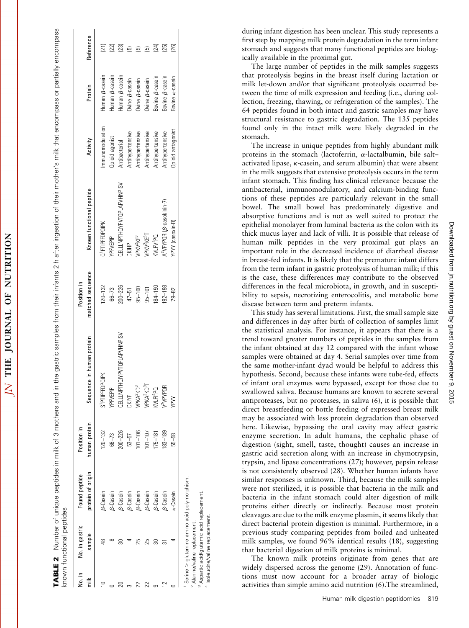| NUTRITIO           |
|--------------------|
|                    |
| $\frac{1}{2}$<br>ł |
| <b>IOURNAL</b>     |
| 5                  |
| THE                |
| i                  |
|                    |

TABLE 2 Number of unique peptides in milk of 3 mothers and in the gastric samples from their infants 2 h after ingestion of their mother's milk that encompass or partially encompass Number of unique peptides in milk of 3 mothers and in the gastric samples from their infants 2 h after ingestion of their mothers milk that encompass or partially encompass known functional peptides known functional peptides TABLE 2

| No. in | No. in gastric                                                            | Found peptide     | Position in                              |                                    | Position in                                                          |                                                |                   |                                                    |           |
|--------|---------------------------------------------------------------------------|-------------------|------------------------------------------|------------------------------------|----------------------------------------------------------------------|------------------------------------------------|-------------------|----------------------------------------------------|-----------|
|        | sample                                                                    | orotein of origin | numan protein                            | Sequence in human protein          | matched sequence                                                     | Known functional peptide                       | Activity          | Protein                                            | Reference |
|        |                                                                           | 9-Casein          | $120 - 132$                              | S <sup>1</sup> PTIPFFDPQIPK        | $120 - 132$                                                          | Q <sup>1</sup> PTIPFFDPQIPK                    | mmunomodulation   | luman <sub>B</sub> -casein                         |           |
|        |                                                                           | <b>B-Casein</b>   | $66 - 73$                                | <b>(PFVEPIP</b>                    |                                                                      | <b>/PFVEPIP</b>                                | Ipioid agonist    | luman <i>B</i> -casein                             |           |
|        |                                                                           | <b>B-Casein</b>   |                                          | <b>DELLLNPTHOLYPYTOPLAPVHNPISV</b> | $66-73$<br>$200-226$<br>$47-51$<br>$95-100$<br>$95-101$<br>$184-190$ | <b>JELLLNPTHOYPVTOPLAPVHNPISV</b>              | Antibacterial     | $I$ uman $\beta$ -casein                           |           |
|        |                                                                           | <b>B-Casein</b>   |                                          | JKIYP                              |                                                                      | <b>DKIHP</b>                                   | Antihypertensive  | Jvine $\beta$ -casein                              |           |
|        |                                                                           | B-Casein          | $200-226$<br>53-57<br>101-106<br>101-107 | /PKA <sup>2</sup> KD <sup>3</sup>  |                                                                      | VPKV <sup>2</sup> KE <sup>3</sup>              | Antihypertensive  | Dvine $\beta$ -casein                              |           |
|        |                                                                           | <b>B-Casein</b>   |                                          | PKA <sup>2</sup> KD <sup>3</sup> T |                                                                      | VPKV <sup>2</sup> KE <sup>3</sup> T            | Antihypertensive  | Jvine $\beta$ -casein                              |           |
|        |                                                                           | B-Casein          | $175 - 181$                              | $Odb$ ld $M$                       |                                                                      | Dd <sub>r</sub> Ad IV:                         | Antihypertensive  |                                                    | 24)       |
|        |                                                                           | <b>B-Casein</b>   | 183-189                                  | / <sup>2</sup> VPYPQR              | $ 92 - 198$                                                          | A <sup>2</sup> VPYPQR ( <i>B</i> -casokinin-7) | Antihypertensive  | Bovine <i>B</i> -casein<br>Bovine <i>B</i> -casein | 25)       |
|        |                                                                           | c-Casein          | $55 - 58$                                | PY                                 | 79-82                                                                | (PYY (casoxin-B)                               | Jpioid antagonist | Jovine k-casein                                    |           |
|        | Serine > glutamine amino acid polymorphism.<br>Alanine/valine replacement |                   |                                          |                                    |                                                                      |                                                |                   |                                                    |           |

Aspartic acid/glutamic acid replacement.

Aspartic acid/glutamic acid replacement.

4

Isoleucine/valine replacement.

Isoleucine/valine replacement.

during infant digestion has been unclear. This study represents a first step by mapping milk protein degradation in the term infant stomach and suggests that many functional peptides are biologically available in the proximal gut.

The large number of peptides in the milk samples suggests that proteolysis begins in the breast itself during lactation or milk let-down and/or that significant proteolysis occurred between the time of milk expression and feeding (i.e., during collection, freezing, thawing, or refrigeration of the samples). The 64 peptides found in both intact and gastric samples may have structural resistance to gastric degradation. The 135 peptides found only in the intact milk were likely degraded in the stomach.

The increase in unique peptides from highly abundant milk proteins in the stomach (lactoferrin, a-lactalbumin, bile salt– activated lipase, k-casein, and serum albumin) that were absent in the milk suggests that extensive proteolysis occurs in the term infant stomach. This finding has clinical relevance because the antibacterial, immunomodulatory, and calcium-binding functions of these peptides are particularly relevant in the small bowel. The small bowel has predominately digestive and absorptive functions and is not as well suited to protect the epithelial monolayer from luminal bacteria as the colon with its thick mucus layer and lack of villi. It is possible that release of human milk peptides in the very proximal gut plays an important role in the decreased incidence of diarrheal disease in breast-fed infants. It is likely that the premature infant differs from the term infant in gastric proteolysis of human milk; if this is the case, these differences may contribute to the observed differences in the fecal microbiota, in growth, and in susceptibility to sepsis, necrotizing enterocolitis, and metabolic bone disease between term and preterm infants.

This study has several limitations. First, the small sample size and differences in day after birth of collection of samples limit the statistical analysis. For instance, it appears that there is a trend toward greater numbers of peptides in the samples from the infant obtained at day 12 compared with the infant whose samples were obtained at day 4. Serial samples over time from the same mother-infant dyad would be helpful to address this hypothesis. Second, because these infants were tube-fed, effects of infant oral enzymes were bypassed, except for those due to swallowed saliva. Because humans are known to secrete several antiproteases, but no proteases, in saliva (6), it is possible that direct breastfeeding or bottle feeding of expressed breast milk may be associated with less protein degradation than observed here. Likewise, bypassing the oral cavity may affect gastric enzyme secretion. In adult humans, the cephalic phase of digestion (sight, smell, taste, thought) causes an increase in gastric acid secretion along with an increase in chymotrypsin, trypsin, and lipase concentrations (27); however, pepsin release is not consistently observed (28). Whether human infants have similar responses is unknown. Third, because the milk samples were not sterilized, it is possible that bacteria in the milk and bacteria in the infant stomach could alter digestion of milk proteins either directly or indirectly. Because most protein cleavages are due to the milk enzyme plasmin, it seems likely that direct bacterial protein digestion is minimal. Furthermore, in a previous study comparing peptides from boiled and unheated milk samples, we found 96% identical results (18), suggesting that bacterial digestion of milk proteins is minimal.

The known milk proteins originate from genes that are widely dispersed across the genome (29). Annotation of functions must now account for a broader array of biologic activities than simple amino acid nutrition (6).The streamlined,